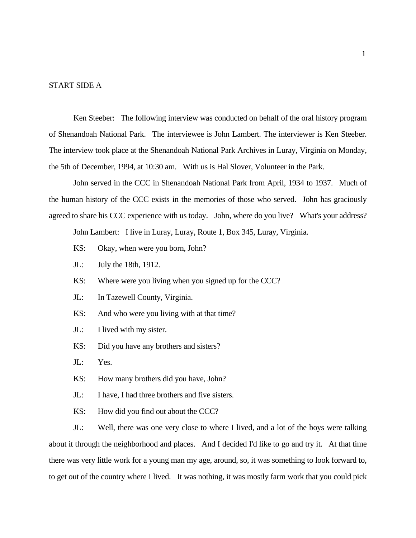### START SIDE A

Ken Steeber: The following interview was conducted on behalf of the oral history program of Shenandoah National Park. The interviewee is John Lambert. The interviewer is Ken Steeber. The interview took place at the Shenandoah National Park Archives in Luray, Virginia on Monday, the 5th of December, 1994, at 10:30 am. With us is Hal Slover, Volunteer in the Park.

John served in the CCC in Shenandoah National Park from April, 1934 to 1937. Much of the human history of the CCC exists in the memories of those who served. John has graciously agreed to share his CCC experience with us today. John, where do you live? What's your address?

John Lambert: I live in Luray, Luray, Route 1, Box 345, Luray, Virginia.

- KS: Okay, when were you born, John?
- JL: July the 18th, 1912.
- KS: Where were you living when you signed up for the CCC?
- JL: In Tazewell County, Virginia.
- KS: And who were you living with at that time?
- JL: I lived with my sister.
- KS: Did you have any brothers and sisters?
- JL: Yes.
- KS: How many brothers did you have, John?
- JL: I have, I had three brothers and five sisters.
- KS: How did you find out about the CCC?

JL: Well, there was one very close to where I lived, and a lot of the boys were talking about it through the neighborhood and places. And I decided I'd like to go and try it. At that time there was very little work for a young man my age, around, so, it was something to look forward to, to get out of the country where I lived. It was nothing, it was mostly farm work that you could pick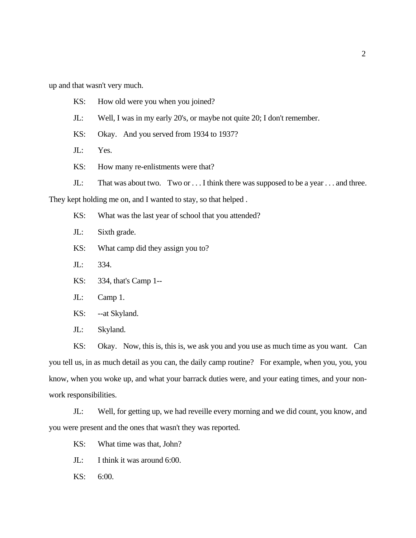up and that wasn't very much.

- KS: How old were you when you joined?
- JL: Well, I was in my early 20's, or maybe not quite 20; I don't remember.
- KS: Okay. And you served from 1934 to 1937?
- JL: Yes.
- KS: How many re-enlistments were that?
- JL: That was about two. Two or ... I think there was supposed to be a year ... and three.

They kept holding me on, and I wanted to stay, so that helped .

- KS: What was the last year of school that you attended?
- JL: Sixth grade.
- KS: What camp did they assign you to?
- JL: 334.
- KS: 334, that's Camp 1--
- JL: Camp 1.
- KS: --at Skyland.
- JL: Skyland.

KS: Okay. Now, this is, this is, we ask you and you use as much time as you want. Can you tell us, in as much detail as you can, the daily camp routine? For example, when you, you, you know, when you woke up, and what your barrack duties were, and your eating times, and your nonwork responsibilities.

JL: Well, for getting up, we had reveille every morning and we did count, you know, and you were present and the ones that wasn't they was reported.

- KS: What time was that, John?
- JL: I think it was around 6:00.
- KS: 6:00.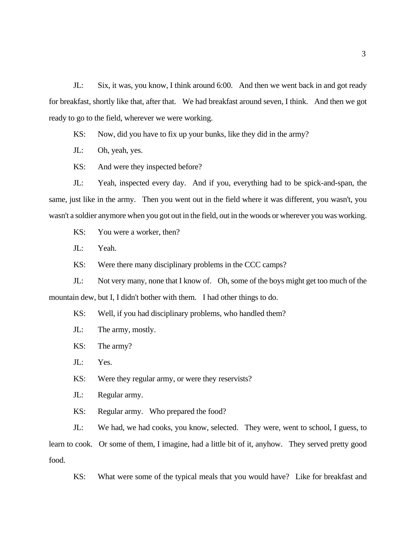JL: Six, it was, you know, I think around 6:00. And then we went back in and got ready for breakfast, shortly like that, after that. We had breakfast around seven, I think. And then we got ready to go to the field, wherever we were working.

KS: Now, did you have to fix up your bunks, like they did in the army?

JL: Oh, yeah, yes.

KS: And were they inspected before?

JL: Yeah, inspected every day. And if you, everything had to be spick-and-span, the same, just like in the army. Then you went out in the field where it was different, you wasn't, you wasn't a soldier anymore when you got out in the field, out in the woods or wherever you was working.

KS: You were a worker, then?

JL: Yeah.

KS: Were there many disciplinary problems in the CCC camps?

JL: Not very many, none that I know of. Oh, some of the boys might get too much of the mountain dew, but I, I didn't bother with them. I had other things to do.

KS: Well, if you had disciplinary problems, who handled them?

JL: The army, mostly.

KS: The army?

JL: Yes.

KS: Were they regular army, or were they reservists?

JL: Regular army.

KS: Regular army. Who prepared the food?

JL: We had, we had cooks, you know, selected. They were, went to school, I guess, to learn to cook. Or some of them, I imagine, had a little bit of it, anyhow. They served pretty good food.

KS: What were some of the typical meals that you would have? Like for breakfast and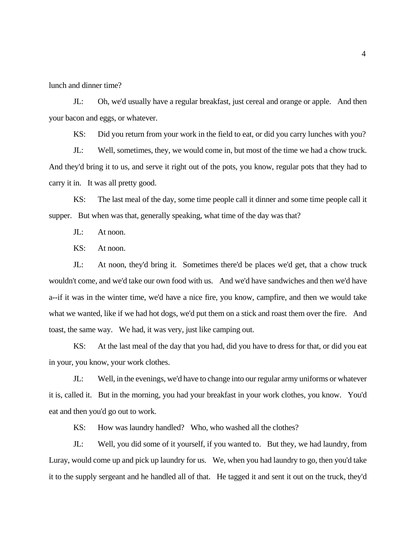lunch and dinner time?

JL: Oh, we'd usually have a regular breakfast, just cereal and orange or apple. And then your bacon and eggs, or whatever.

KS: Did you return from your work in the field to eat, or did you carry lunches with you?

JL: Well, sometimes, they, we would come in, but most of the time we had a chow truck. And they'd bring it to us, and serve it right out of the pots, you know, regular pots that they had to carry it in. It was all pretty good.

KS: The last meal of the day, some time people call it dinner and some time people call it supper. But when was that, generally speaking, what time of the day was that?

JL: At noon.

KS: At noon.

JL: At noon, they'd bring it. Sometimes there'd be places we'd get, that a chow truck wouldn't come, and we'd take our own food with us. And we'd have sandwiches and then we'd have a--if it was in the winter time, we'd have a nice fire, you know, campfire, and then we would take what we wanted, like if we had hot dogs, we'd put them on a stick and roast them over the fire. And toast, the same way. We had, it was very, just like camping out.

KS: At the last meal of the day that you had, did you have to dress for that, or did you eat in your, you know, your work clothes.

JL: Well, in the evenings, we'd have to change into our regular army uniforms or whatever it is, called it. But in the morning, you had your breakfast in your work clothes, you know. You'd eat and then you'd go out to work.

KS: How was laundry handled? Who, who washed all the clothes?

JL: Well, you did some of it yourself, if you wanted to. But they, we had laundry, from Luray, would come up and pick up laundry for us. We, when you had laundry to go, then you'd take it to the supply sergeant and he handled all of that. He tagged it and sent it out on the truck, they'd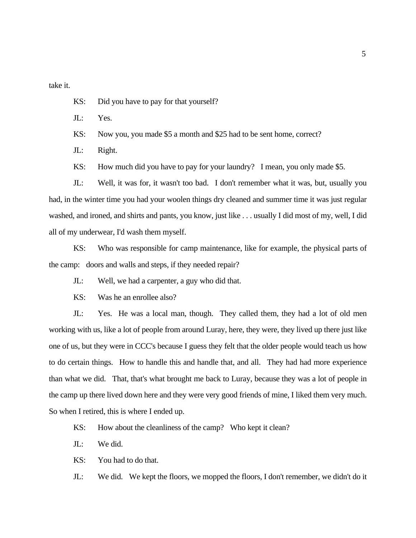take it.

- KS: Did you have to pay for that yourself?
- JL: Yes.
- KS: Now you, you made \$5 a month and \$25 had to be sent home, correct?
- JL: Right.
- KS: How much did you have to pay for your laundry? I mean, you only made \$5.

JL: Well, it was for, it wasn't too bad. I don't remember what it was, but, usually you had, in the winter time you had your woolen things dry cleaned and summer time it was just regular washed, and ironed, and shirts and pants, you know, just like . . . usually I did most of my, well, I did all of my underwear, I'd wash them myself.

KS: Who was responsible for camp maintenance, like for example, the physical parts of the camp: doors and walls and steps, if they needed repair?

- JL: Well, we had a carpenter, a guy who did that.
- KS: Was he an enrollee also?

JL: Yes. He was a local man, though. They called them, they had a lot of old men working with us, like a lot of people from around Luray, here, they were, they lived up there just like one of us, but they were in CCC's because I guess they felt that the older people would teach us how to do certain things. How to handle this and handle that, and all. They had had more experience than what we did. That, that's what brought me back to Luray, because they was a lot of people in the camp up there lived down here and they were very good friends of mine, I liked them very much. So when I retired, this is where I ended up.

- KS: How about the cleanliness of the camp? Who kept it clean?
- JL: We did.
- KS: You had to do that.

JL: We did. We kept the floors, we mopped the floors, I don't remember, we didn't do it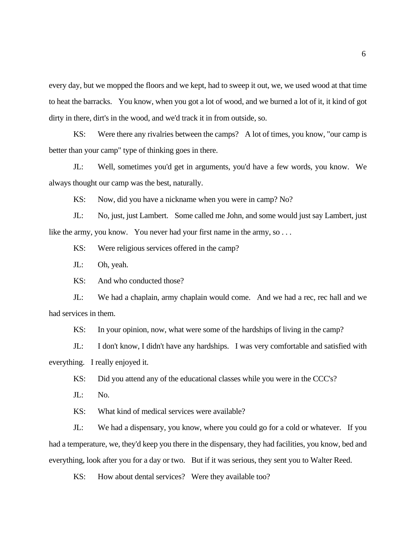every day, but we mopped the floors and we kept, had to sweep it out, we, we used wood at that time to heat the barracks. You know, when you got a lot of wood, and we burned a lot of it, it kind of got dirty in there, dirt's in the wood, and we'd track it in from outside, so.

KS: Were there any rivalries between the camps? A lot of times, you know, "our camp is better than your camp" type of thinking goes in there.

JL: Well, sometimes you'd get in arguments, you'd have a few words, you know. We always thought our camp was the best, naturally.

KS: Now, did you have a nickname when you were in camp? No?

JL: No, just, just Lambert. Some called me John, and some would just say Lambert, just like the army, you know. You never had your first name in the army, so ...

KS: Were religious services offered in the camp?

JL: Oh, yeah.

KS: And who conducted those?

JL: We had a chaplain, army chaplain would come. And we had a rec, rec hall and we had services in them.

KS: In your opinion, now, what were some of the hardships of living in the camp?

JL: I don't know, I didn't have any hardships. I was very comfortable and satisfied with everything. I really enjoyed it.

KS: Did you attend any of the educational classes while you were in the CCC's?

JL: No.

KS: What kind of medical services were available?

JL: We had a dispensary, you know, where you could go for a cold or whatever. If you had a temperature, we, they'd keep you there in the dispensary, they had facilities, you know, bed and everything, look after you for a day or two. But if it was serious, they sent you to Walter Reed.

KS: How about dental services? Were they available too?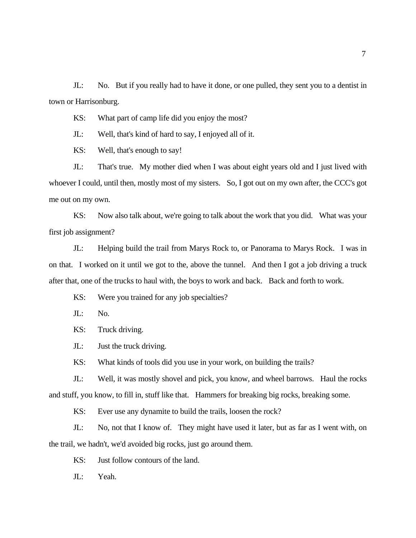JL: No. But if you really had to have it done, or one pulled, they sent you to a dentist in town or Harrisonburg.

KS: What part of camp life did you enjoy the most?

JL: Well, that's kind of hard to say, I enjoyed all of it.

KS: Well, that's enough to say!

JL: That's true. My mother died when I was about eight years old and I just lived with whoever I could, until then, mostly most of my sisters. So, I got out on my own after, the CCC's got me out on my own.

KS: Now also talk about, we're going to talk about the work that you did. What was your first job assignment?

JL: Helping build the trail from Marys Rock to, or Panorama to Marys Rock. I was in on that. I worked on it until we got to the, above the tunnel. And then I got a job driving a truck after that, one of the trucks to haul with, the boys to work and back. Back and forth to work.

KS: Were you trained for any job specialties?

JL: No.

KS: Truck driving.

JL: Just the truck driving.

KS: What kinds of tools did you use in your work, on building the trails?

JL: Well, it was mostly shovel and pick, you know, and wheel barrows. Haul the rocks and stuff, you know, to fill in, stuff like that. Hammers for breaking big rocks, breaking some.

KS: Ever use any dynamite to build the trails, loosen the rock?

JL: No, not that I know of. They might have used it later, but as far as I went with, on the trail, we hadn't, we'd avoided big rocks, just go around them.

KS: Just follow contours of the land.

JL: Yeah.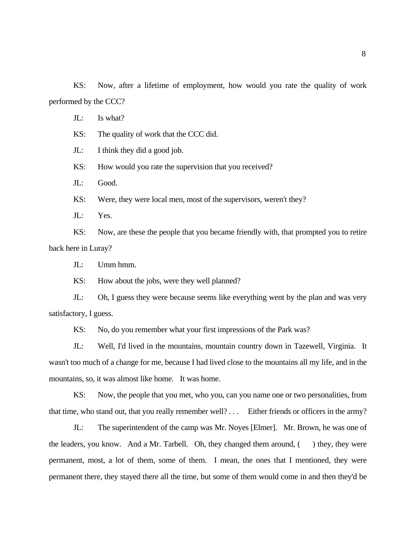KS: Now, after a lifetime of employment, how would you rate the quality of work performed by the CCC?

JL: Is what?

KS: The quality of work that the CCC did.

JL: I think they did a good job.

KS: How would you rate the supervision that you received?

JL: Good.

KS: Were, they were local men, most of the supervisors, weren't they?

JL: Yes.

KS: Now, are these the people that you became friendly with, that prompted you to retire back here in Luray?

JL: Umm hmm.

KS: How about the jobs, were they well planned?

JL: Oh, I guess they were because seems like everything went by the plan and was very satisfactory, I guess.

KS: No, do you remember what your first impressions of the Park was?

JL: Well, I'd lived in the mountains, mountain country down in Tazewell, Virginia. It wasn't too much of a change for me, because I had lived close to the mountains all my life, and in the mountains, so, it was almost like home. It was home.

KS: Now, the people that you met, who you, can you name one or two personalities, from that time, who stand out, that you really remember well? . . . Either friends or officers in the army?

JL: The superintendent of the camp was Mr. Noyes [Elmer]. Mr. Brown, he was one of the leaders, you know. And a Mr. Tarbell. Oh, they changed them around,  $($ ) they, they were permanent, most, a lot of them, some of them. I mean, the ones that I mentioned, they were permanent there, they stayed there all the time, but some of them would come in and then they'd be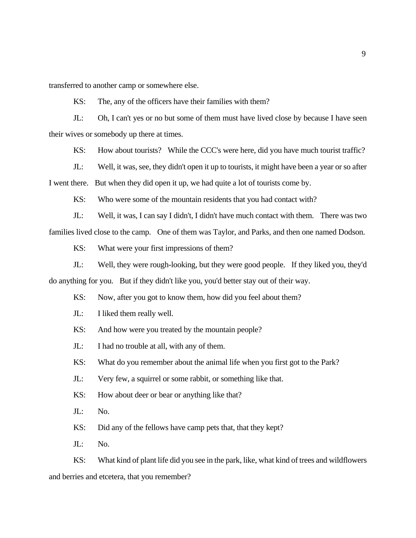transferred to another camp or somewhere else.

KS: The, any of the officers have their families with them?

JL: Oh, I can't yes or no but some of them must have lived close by because I have seen their wives or somebody up there at times.

KS: How about tourists? While the CCC's were here, did you have much tourist traffic?

JL: Well, it was, see, they didn't open it up to tourists, it might have been a year or so after I went there. But when they did open it up, we had quite a lot of tourists come by.

KS: Who were some of the mountain residents that you had contact with?

JL: Well, it was, I can say I didn't, I didn't have much contact with them. There was two families lived close to the camp. One of them was Taylor, and Parks, and then one named Dodson.

KS: What were your first impressions of them?

JL: Well, they were rough-looking, but they were good people. If they liked you, they'd do anything for you. But if they didn't like you, you'd better stay out of their way.

KS: Now, after you got to know them, how did you feel about them?

JL: I liked them really well.

KS: And how were you treated by the mountain people?

JL: I had no trouble at all, with any of them.

KS: What do you remember about the animal life when you first got to the Park?

JL: Very few, a squirrel or some rabbit, or something like that.

KS: How about deer or bear or anything like that?

JL: No.

KS: Did any of the fellows have camp pets that, that they kept?

JL: No.

KS: What kind of plant life did you see in the park, like, what kind of trees and wildflowers and berries and etcetera, that you remember?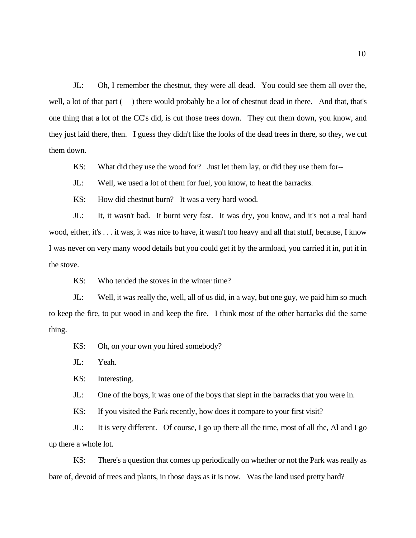JL: Oh, I remember the chestnut, they were all dead. You could see them all over the, well, a lot of that part () there would probably be a lot of chestnut dead in there. And that, that's one thing that a lot of the CC's did, is cut those trees down. They cut them down, you know, and they just laid there, then. I guess they didn't like the looks of the dead trees in there, so they, we cut them down.

KS: What did they use the wood for? Just let them lay, or did they use them for--

JL: Well, we used a lot of them for fuel, you know, to heat the barracks.

KS: How did chestnut burn? It was a very hard wood.

JL: It, it wasn't bad. It burnt very fast. It was dry, you know, and it's not a real hard wood, either, it's . . . it was, it was nice to have, it wasn't too heavy and all that stuff, because, I know I was never on very many wood details but you could get it by the armload, you carried it in, put it in the stove.

KS: Who tended the stoves in the winter time?

JL: Well, it was really the, well, all of us did, in a way, but one guy, we paid him so much to keep the fire, to put wood in and keep the fire. I think most of the other barracks did the same thing.

KS: Oh, on your own you hired somebody?

JL: Yeah.

KS: Interesting.

JL: One of the boys, it was one of the boys that slept in the barracks that you were in.

KS: If you visited the Park recently, how does it compare to your first visit?

JL: It is very different. Of course, I go up there all the time, most of all the, Al and I go up there a whole lot.

KS: There's a question that comes up periodically on whether or not the Park was really as bare of, devoid of trees and plants, in those days as it is now. Was the land used pretty hard?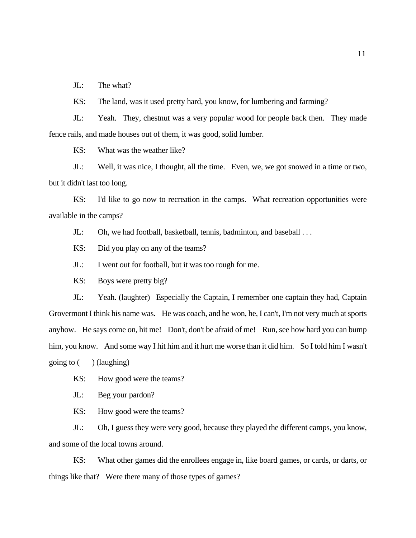JL: The what?

KS: The land, was it used pretty hard, you know, for lumbering and farming?

JL: Yeah. They, chestnut was a very popular wood for people back then. They made fence rails, and made houses out of them, it was good, solid lumber.

KS: What was the weather like?

JL: Well, it was nice, I thought, all the time. Even, we, we got snowed in a time or two, but it didn't last too long.

KS: I'd like to go now to recreation in the camps. What recreation opportunities were available in the camps?

JL: Oh, we had football, basketball, tennis, badminton, and baseball . . .

KS: Did you play on any of the teams?

JL: I went out for football, but it was too rough for me.

KS: Boys were pretty big?

JL: Yeah. (laughter) Especially the Captain, I remember one captain they had, Captain Grovermont I think his name was. He was coach, and he won, he, I can't, I'm not very much at sports anyhow. He says come on, hit me! Don't, don't be afraid of me! Run, see how hard you can bump him, you know. And some way I hit him and it hurt me worse than it did him. So I told him I wasn't going to  $($ ) (laughing)

KS: How good were the teams?

JL: Beg your pardon?

KS: How good were the teams?

JL: Oh, I guess they were very good, because they played the different camps, you know, and some of the local towns around.

KS: What other games did the enrollees engage in, like board games, or cards, or darts, or things like that? Were there many of those types of games?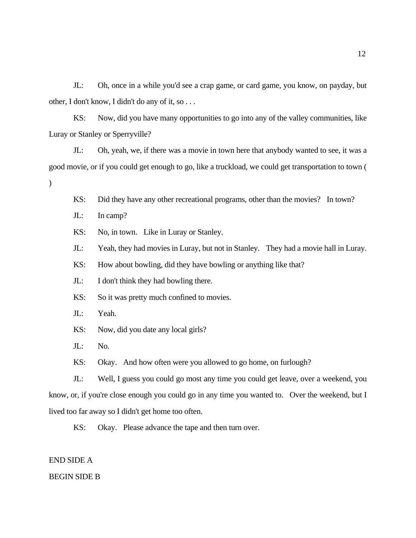JL: Oh, once in a while you'd see a crap game, or card game, you know, on payday, but other, I don't know, I didn't do any of it, so . . .

KS: Now, did you have many opportunities to go into any of the valley communities, like Luray or Stanley or Sperryville?

JL: Oh, yeah, we, if there was a movie in town here that anybody wanted to see, it was a good movie, or if you could get enough to go, like a truckload, we could get transportation to town (  $\mathcal{L}$ 

KS: Did they have any other recreational programs, other than the movies? In town?

JL: In camp?

KS: No, in town. Like in Luray or Stanley.

JL: Yeah, they had movies in Luray, but not in Stanley. They had a movie hall in Luray.

KS: How about bowling, did they have bowling or anything like that?

JL: I don't think they had bowling there.

KS: So it was pretty much confined to movies.

JL: Yeah.

KS: Now, did you date any local girls?

JL: No.

KS: Okay. And how often were you allowed to go home, on furlough?

JL: Well, I guess you could go most any time you could get leave, over a weekend, you know, or, if you're close enough you could go in any time you wanted to. Over the weekend, but I lived too far away so I didn't get home too often.

KS: Okay. Please advance the tape and then turn over.

END SIDE A

BEGIN SIDE B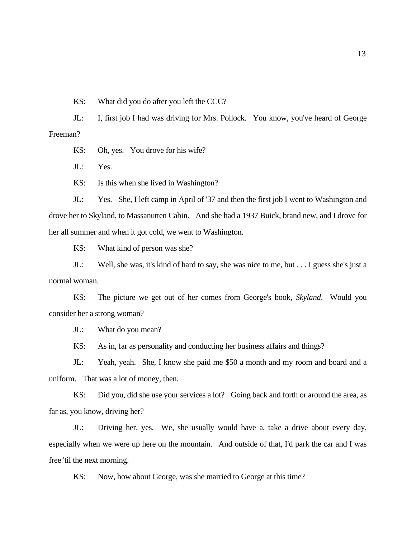KS: What did you do after you left the CCC?

JL: I, first job I had was driving for Mrs. Pollock. You know, you've heard of George Freeman?

KS: Oh, yes. You drove for his wife?

JL: Yes.

KS: Is this when she lived in Washington?

JL: Yes. She, I left camp in April of '37 and then the first job I went to Washington and drove her to Skyland, to Massanutten Cabin. And she had a 1937 Buick, brand new, and I drove for her all summer and when it got cold, we went to Washington.

KS: What kind of person was she?

JL: Well, she was, it's kind of hard to say, she was nice to me, but . . . I guess she's just a normal woman.

KS: The picture we get out of her comes from George's book, *Skyland*. Would you consider her a strong woman?

JL: What do you mean?

KS: As in, far as personality and conducting her business affairs and things?

JL: Yeah, yeah. She, I know she paid me \$50 a month and my room and board and a uniform. That was a lot of money, then.

KS: Did you, did she use your services a lot? Going back and forth or around the area, as far as, you know, driving her?

JL: Driving her, yes. We, she usually would have a, take a drive about every day, especially when we were up here on the mountain. And outside of that, I'd park the car and I was free 'til the next morning.

KS: Now, how about George, was she married to George at this time?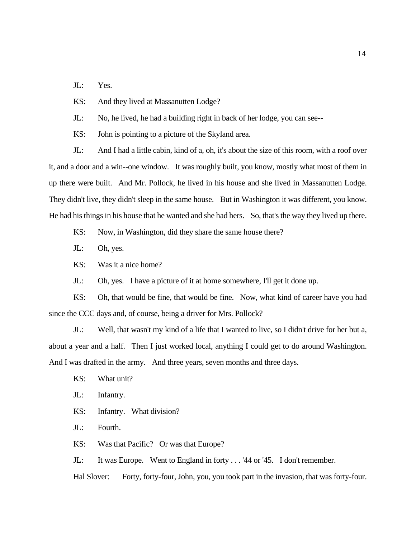JL: Yes.

KS: And they lived at Massanutten Lodge?

JL: No, he lived, he had a building right in back of her lodge, you can see--

KS: John is pointing to a picture of the Skyland area.

JL: And I had a little cabin, kind of a, oh, it's about the size of this room, with a roof over it, and a door and a win--one window. It was roughly built, you know, mostly what most of them in up there were built. And Mr. Pollock, he lived in his house and she lived in Massanutten Lodge. They didn't live, they didn't sleep in the same house. But in Washington it was different, you know. He had his things in his house that he wanted and she had hers. So, that's the way they lived up there.

KS: Now, in Washington, did they share the same house there?

JL: Oh, yes.

KS: Was it a nice home?

JL: Oh, yes. I have a picture of it at home somewhere, I'll get it done up.

KS: Oh, that would be fine, that would be fine. Now, what kind of career have you had since the CCC days and, of course, being a driver for Mrs. Pollock?

JL: Well, that wasn't my kind of a life that I wanted to live, so I didn't drive for her but a, about a year and a half. Then I just worked local, anything I could get to do around Washington. And I was drafted in the army. And three years, seven months and three days.

KS: What unit?

JL: Infantry.

KS: Infantry. What division?

JL: Fourth.

KS: Was that Pacific? Or was that Europe?

JL: It was Europe. Went to England in forty . . . '44 or '45. I don't remember.

Hal Slover: Forty, forty-four, John, you, you took part in the invasion, that was forty-four.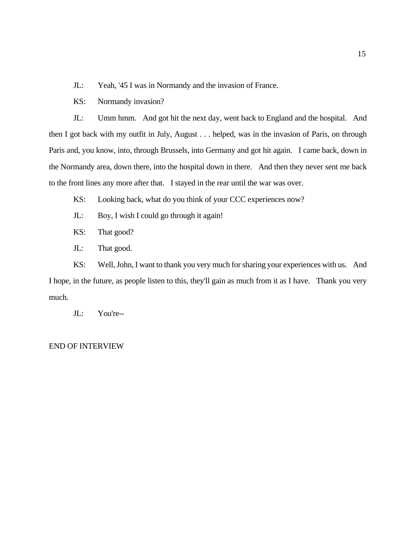JL: Yeah, '45 I was in Normandy and the invasion of France.

KS: Normandy invasion?

JL: Umm hmm. And got hit the next day, went back to England and the hospital. And then I got back with my outfit in July, August . . . helped, was in the invasion of Paris, on through Paris and, you know, into, through Brussels, into Germany and got hit again. I came back, down in the Normandy area, down there, into the hospital down in there. And then they never sent me back to the front lines any more after that. I stayed in the rear until the war was over.

- KS: Looking back, what do you think of your CCC experiences now?
- JL: Boy, I wish I could go through it again!
- KS: That good?
- JL: That good.

KS: Well, John, I want to thank you very much for sharing your experiences with us. And I hope, in the future, as people listen to this, they'll gain as much from it as I have. Thank you very much.

JL: You're--

### END OF INTERVIEW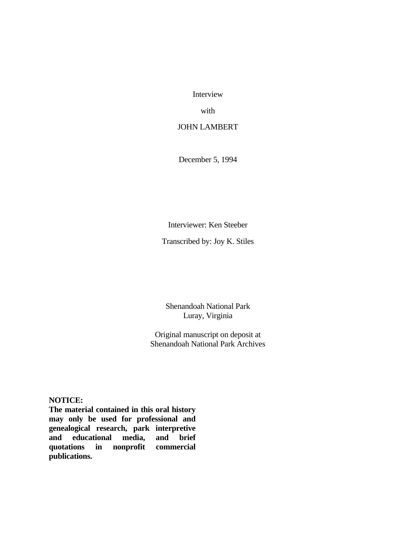Interview

with

JOHN LAMBERT

December 5, 1994

Interviewer: Ken Steeber

Transcribed by: Joy K. Stiles

Shenandoah National Park Luray, Virginia

Original manuscript on deposit at Shenandoah National Park Archives

## **NOTICE:**

**The material contained in this oral history may only be used for professional and genealogical research, park interpretive**  *<u>ducational</u>* **quotations in nonprofit commercial publications.**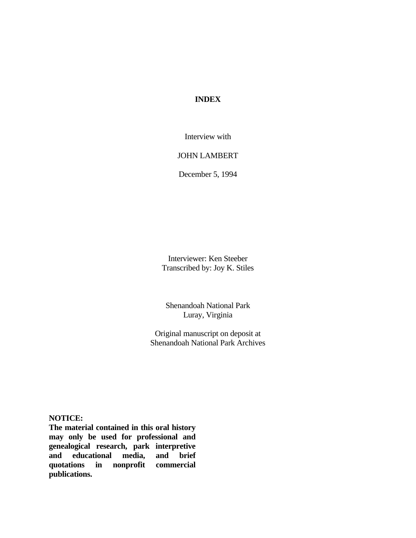# **INDEX**

Interview with

## JOHN LAMBERT

December 5, 1994

Interviewer: Ken Steeber Transcribed by: Joy K. Stiles

Shenandoah National Park Luray, Virginia

Original manuscript on deposit at Shenandoah National Park Archives

**NOTICE:**

**The material contained in this oral history may only be used for professional and genealogical research, park interpretive and educational media, and brief quotations in nonprofit commercial publications.**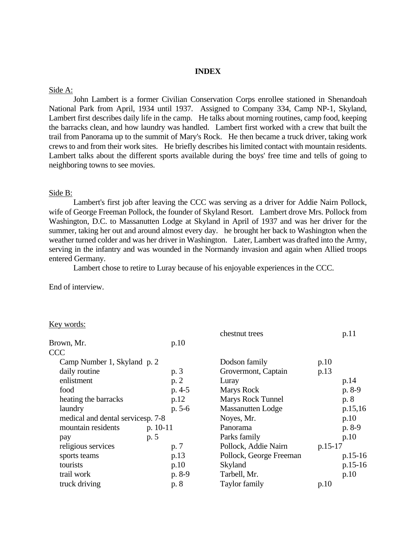# **INDEX**

#### Side A:

John Lambert is a former Civilian Conservation Corps enrollee stationed in Shenandoah National Park from April, 1934 until 1937. Assigned to Company 334, Camp NP-1, Skyland, Lambert first describes daily life in the camp. He talks about morning routines, camp food, keeping the barracks clean, and how laundry was handled. Lambert first worked with a crew that built the trail from Panorama up to the summit of Mary's Rock. He then became a truck driver, taking work crews to and from their work sites. He briefly describes his limited contact with mountain residents. Lambert talks about the different sports available during the boys' free time and tells of going to neighboring towns to see movies.

### Side B:

Lambert's first job after leaving the CCC was serving as a driver for Addie Nairn Pollock, wife of George Freeman Pollock, the founder of Skyland Resort. Lambert drove Mrs. Pollock from Washington, D.C. to Massanutten Lodge at Skyland in April of 1937 and was her driver for the summer, taking her out and around almost every day. he brought her back to Washington when the weather turned colder and was her driver in Washington. Later, Lambert was drafted into the Army, serving in the infantry and was wounded in the Normandy invasion and again when Allied troops entered Germany.

Lambert chose to retire to Luray because of his enjoyable experiences in the CCC.

End of interview.

#### Key words:

|                                    |            | chestnut trees           | p.11      |
|------------------------------------|------------|--------------------------|-----------|
| Brown, Mr.                         | p.10       |                          |           |
| <b>CCC</b>                         |            |                          |           |
| Camp Number 1, Skyland p. 2        |            | Dodson family            | p.10      |
| daily routine                      | p. 3       | Grovermont, Captain      | p.13      |
| enlistment                         | p.2        | Luray                    | p.14      |
| food                               | $p. 4-5$   | Marys Rock               | p. 8-9    |
| heating the barracks               | p.12       | <b>Marys Rock Tunnel</b> | p. 8      |
| laundry                            | $p. 5-6$   | <b>Massanutten Lodge</b> | p.15,16   |
| medical and dental services p. 7-8 |            | Noyes, Mr.               | p.10      |
| mountain residents                 | $p. 10-11$ | Panorama                 | $p. 8-9$  |
| pay                                | p. 5       | Parks family             | p.10      |
| religious services                 | p. 7       | Pollock, Addie Nairn     | $p.15-17$ |
| sports teams                       | p.13       | Pollock, George Freeman  | $p.15-16$ |
| tourists                           | p.10       | Skyland                  | $p.15-16$ |
| trail work                         | p. 8-9     | Tarbell, Mr.             | p.10      |
| truck driving                      | p. 8       | Taylor family            | p.10      |
|                                    |            |                          |           |